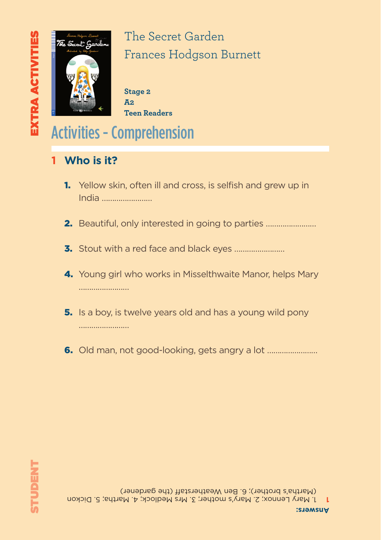

**Stage 2 A2 Teen Readers**

## Activities - Comprehension

- **1 Who is it?**
	- 1. Yellow skin, often ill and cross, is selfish and grew up in India ……………………
	- 2. Beautiful, only interested in going to parties ……………………
	- 3. Stout with a red face and black eyes ……………………
	- **4.** Young girl who works in Misselthwaite Manor, helps Mary ………………………
	- **5.** Is a boy, is twelve years old and has a young wild pony ………………………
	- 6. Old man, not good-looking, gets angry a lot ……………………

1 J Mary Lennox; 2. Mary's mother; 3. Mrs Medlock; 4. Martha; 5. Dickon (Martha's brother); 6. Ben Weatherstaff (the gardener)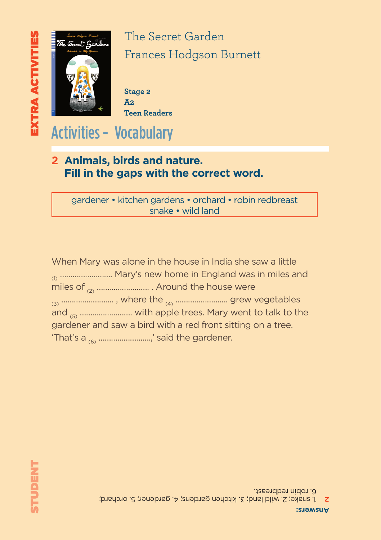

**Stage 2 A2 Teen Readers**

Activities - Vocabulary

### **2 Animals, birds and nature. Fill in the gaps with the correct word.**

gardener • kitchen gardens • orchard • robin redbreast snake • wild land

When Mary was alone in the house in India she saw a little (n) ………………………. Mary's new home in England was in miles and miles of (2) ……………………. . Around the house were (3) ……………………. , where the (4) ……………………. grew vegetables and (5) ……………………. with apple trees. Mary went to talk to the gardener and saw a bird with a red front sitting on a tree. 'That's a (6) …………………….,' said the gardener.

1. snake; 2. wild land; 3. kitchen gardens; 4. gardener; 5. orchard; **2** 6. robin redbreast.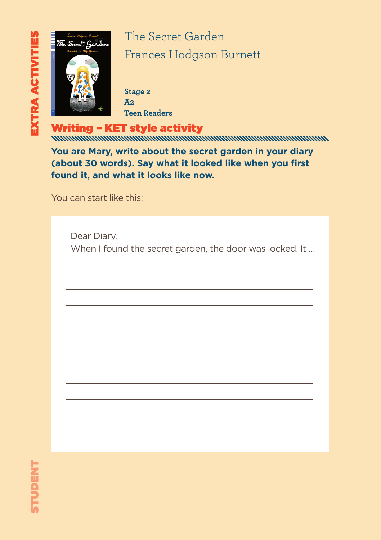

**Stage 2 A2 Teen Readers**

Writing – KET style activity

**You are Mary, write about the secret garden in your diary (about 30 words). Say what it looked like when you first found it, and what it looks like now.** 

You can start like this:

Dear Diary, When I found the secret garden, the door was locked. It ...